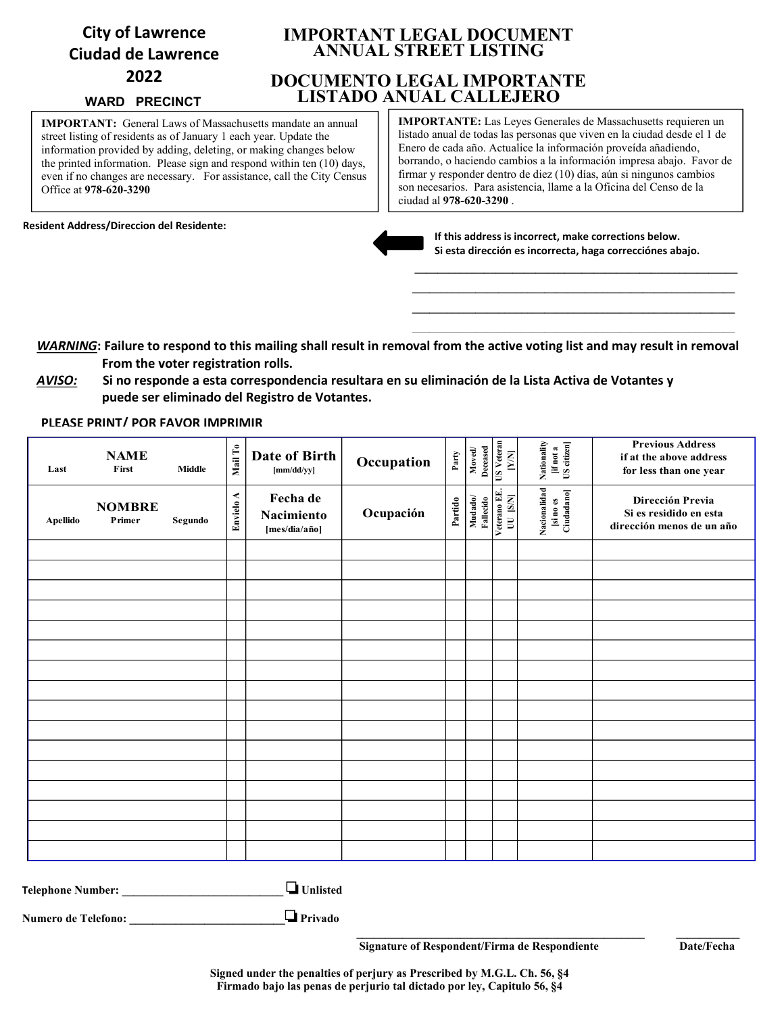# **City of Lawrence Ciudad de Lawrence 2022**

#### **WARD PRECINCT**

**IMPORTANT:** General Laws of Massachusetts mandate an annual street listing of residents as of January 1 each year. Update the information provided by adding, deleting, or making changes below the printed information. Please sign and respond within ten (10) days, even if no changes are necessary. For assistance, call the City Census Office at **978-620-3290**

**Resident Address/Direccion del Residente:**

## **IMPORTANT LEGAL DOCUMENT ANNUAL STREET LISTING**

# **DOCUMENTO LEGAL IMPORTANTE LISTADO ANUAL CALLEJERO**

**IMPORTANTE:** Las Leyes Generales de Massachusetts requieren un listado anual de todas las personas que viven en la ciudad desde el 1 de Enero de cada año. Actualice la información proveída añadiendo, borrando, o haciendo cambios a la información impresa abajo. Favor de firmar y responder dentro de diez (10) días, aún si ningunos cambios son necesarios. Para asistencia, llame a la Oficina del Censo de la ciudad al **978-620-3290** .



**If this address is incorrect, make corrections below. Si esta dirección es incorrecta, haga correcciónes abajo.**

**\_\_\_\_\_\_\_\_\_\_\_\_\_\_\_\_\_\_\_\_\_\_\_\_\_\_\_\_\_\_\_\_\_\_\_\_\_\_\_\_\_\_\_\_\_\_\_\_\_\_\_\_\_\_\_\_ \_\_\_\_\_\_\_\_\_\_\_\_\_\_\_\_\_\_\_\_\_\_\_\_\_\_\_\_\_\_\_\_\_\_\_\_\_\_\_\_\_\_\_\_\_\_\_\_\_\_\_\_\_\_\_\_ \_\_\_\_\_\_\_\_\_\_\_\_\_\_\_\_\_\_\_\_\_\_\_\_\_\_\_\_\_\_\_\_\_\_\_\_\_\_\_\_\_\_\_\_\_\_\_\_\_\_\_\_\_\_\_\_**

 *WARNING***: Failure to respond to this mailing shall result in removal from the active voting list and may result in removal From the voter registration rolls.**

 *AVISO:* **Si no responde a esta correspondencia resultara en su eliminación de la Lista Activa de Votantes y puede ser eliminado del Registro de Votantes.**

**PLEASE PRINT/ POR FAVOR IMPRIMIR**

| Last            | <b>NAME</b><br>First    | <b>Middle</b> | Mail To   | Date of Birth<br>[mm/dd/yy]             | Occupation | $_{\rm Party}$ | ${\bf M} {\bf o} {\bf v} {\bf e} {\bf d}$ | Decased<br>US Veteran<br>$\begin{bmatrix} N\\ N \end{bmatrix}$ | Nationality<br>[if not a<br>US citizen] | <b>Previous Address</b><br>if at the above address<br>for less than one year |
|-----------------|-------------------------|---------------|-----------|-----------------------------------------|------------|----------------|-------------------------------------------|----------------------------------------------------------------|-----------------------------------------|------------------------------------------------------------------------------|
| <b>Apellido</b> | <b>NOMBRE</b><br>Primer | Segundo       | Envielo A | Fecha de<br>Nacimiento<br>[mes/dia/año] | Ocupación  | Partido        | Mudado/<br>Fallecido                      | Veterano EE.<br>UU [S/N]                                       | Nacionalidad<br>[si no es<br>Ciudadano] | Dirección Previa<br>Si es residido en esta<br>dirección menos de un año      |
|                 |                         |               |           |                                         |            |                |                                           |                                                                |                                         |                                                                              |
|                 |                         |               |           |                                         |            |                |                                           |                                                                |                                         |                                                                              |
|                 |                         |               |           |                                         |            |                |                                           |                                                                |                                         |                                                                              |
|                 |                         |               |           |                                         |            |                |                                           |                                                                |                                         |                                                                              |
|                 |                         |               |           |                                         |            |                |                                           |                                                                |                                         |                                                                              |
|                 |                         |               |           |                                         |            |                |                                           |                                                                |                                         |                                                                              |
|                 |                         |               |           |                                         |            |                |                                           |                                                                |                                         |                                                                              |
|                 |                         |               |           |                                         |            |                |                                           |                                                                |                                         |                                                                              |
|                 |                         |               |           |                                         |            |                |                                           |                                                                |                                         |                                                                              |
|                 |                         |               |           |                                         |            |                |                                           |                                                                |                                         |                                                                              |
|                 |                         |               |           |                                         |            |                |                                           |                                                                |                                         |                                                                              |
|                 |                         |               |           |                                         |            |                |                                           |                                                                |                                         |                                                                              |
|                 |                         |               |           |                                         |            |                |                                           |                                                                |                                         |                                                                              |
|                 |                         |               |           |                                         |            |                |                                           |                                                                |                                         |                                                                              |

**Telephone Number: \_\_\_\_\_\_\_\_\_\_\_\_\_\_\_\_\_\_\_\_\_\_\_\_\_\_\_\_ Unlisted** 

**Numero de Telefono: \_\_\_\_\_\_\_\_\_\_\_\_\_\_\_\_\_\_\_\_\_\_\_\_\_\_\_ Privado** 

 **Signature of Respondent/Firma de Respondiente Date/Fecha**

 **\_\_\_\_\_\_\_\_\_\_\_\_\_\_\_\_\_\_\_\_\_\_\_\_\_\_\_\_\_\_\_\_\_\_\_\_\_\_\_\_\_\_\_\_\_\_\_\_\_\_ \_\_\_\_\_\_\_\_\_\_\_**